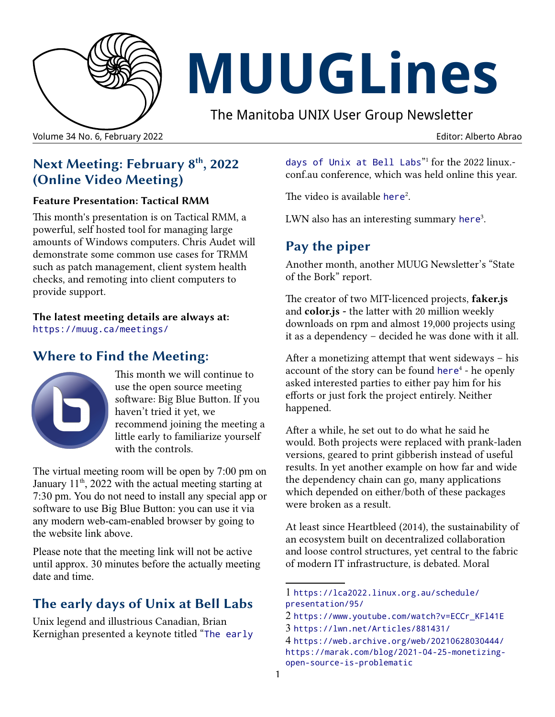

# **MUUGLines**

The Manitoba UNIX User Group Newsletter

Volume 34 No. 6, February 2022 Editor: Alberto Abrao

## **Next Meeting: February 8th, 2022 (Online Video Meeting)**

#### **Feature Presentation: Tactical RMM**

This month's presentation is on Tactical RMM, a powerful, self hosted tool for managing large amounts of Windows computers. Chris Audet will demonstrate some common use cases for TRMM such as patch management, client system health checks, and remoting into client computers to provide support.

**The latest meeting details are always at:** <https://muug.ca/meetings/>

### **Where to Find the Meeting:**



This month we will continue to use the open source meeting software: Big Blue Button. If you haven't tried it yet, we recommend joining the meeting a little early to familiarize yourself with the controls.

The virtual meeting room will be open by 7:00 pm on January  $11<sup>th</sup>$ , 2022 with the actual meeting starting at 7:30 pm. You do not need to install any special app or software to use Big Blue Button: you can use it via any modern web-cam-enabled browser by going to the website link above.

Please note that the meeting link will not be active until approx. 30 minutes before the actually meeting date and time.

## **[The early days of Unix at Bell Labs](#page-0-0)**

[Unix legend and illustrious Canadian, Brian](#page-0-4)  [Kernighan presented a keynote titled "](#page-0-6)[The early](https://lca2022.linux.org.au/schedule/presentation/95/) 

<span id="page-0-0"></span>[days of Unix at Bell Labs](https://lca2022.linux.org.au/schedule/presentation/95/)" for the 2022 linux.conf.au conference, which was held online this year.

<span id="page-0-4"></span><span id="page-0-2"></span>The video is available [here](https://www.youtube.com/watch?v=ECCr_KFl41E)<sup>[2](#page-0-3)</sup>.

LWN also has an interesting summary [here](https://lwn.net/Articles/881431/)<sup>[3](#page-0-5)</sup>.

## **Pay the piper**

Another month, another MUUG Newsletter's "State of the Bork" report.

The creator of two MIT-licenced projects, **faker.js**  and **color.js -** the latter with 20 million weekly downloads on rpm and almost 19,000 projects using it as a dependency – decided he was done with it all.

<span id="page-0-6"></span>After a monetizing attempt that went sideways – his account of the story can be found [here](https://web.archive.org/web/20210628030444/https://marak.com/blog/2021-04-25-monetizing-open-source-is-problematic)<sup>[4](#page-0-7)</sup> - he openly asked interested parties to either pay him for his efforts or just fork the project entirely. Neither happened.

After a while, he set out to do what he said he would. Both projects were replaced with prank-laden versions, geared to print gibberish instead of useful results. In yet another example on how far and wide the dependency chain can go, many applications which depended on either/both of these packages were broken as a result.

At least since Heartbleed (2014), the sustainability of an ecosystem built on decentralized collaboration and loose control structures, yet central to the fabric of modern IT infrastructure, is debated. Moral

<span id="page-0-1"></span><sup>1</sup> [https://lca2022.linux.org.au/schedule/](https://lca2022.linux.org.au/schedule/presentation/95/) [presentation/95/](https://lca2022.linux.org.au/schedule/presentation/95/)

<span id="page-0-5"></span><span id="page-0-3"></span><sup>2</sup> [https://www.youtube.com/watch?v=ECCr\\_KFl41E](https://www.youtube.com/watch?v=ECCr_KFl41E) 3 <https://lwn.net/Articles/881431/>

<span id="page-0-7"></span><sup>4</sup> [https://web.archive.org/web/20210628030444/](https://web.archive.org/web/20210628030444//) [https://marak.com/blog/2021-04-25-monetizing](https://marak.com/blog/2021-04-25-monetizing-open-source-is-problematic)[open-source-is-problematic](https://marak.com/blog/2021-04-25-monetizing-open-source-is-problematic)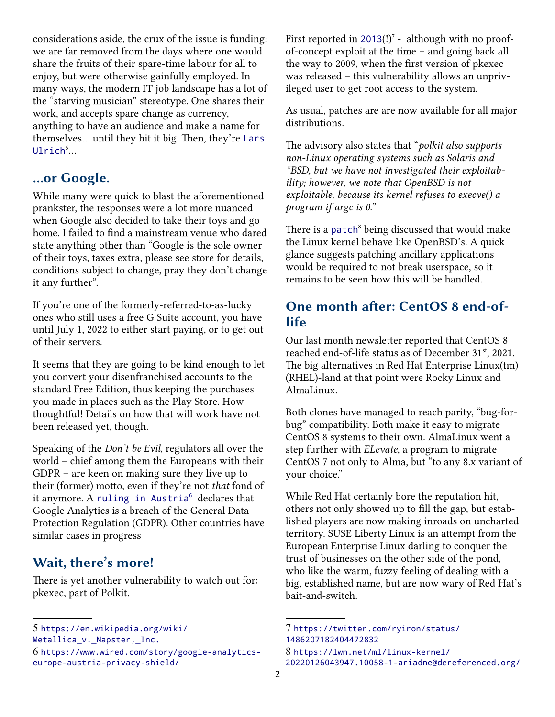considerations aside, the crux of the issue is funding: we are far removed from the days where one would share the fruits of their spare-time labour for all to enjoy, but were otherwise gainfully employed. In many ways, the modern IT job landscape has a lot of the "starving musician" stereotype. One shares their work, and accepts spare change as currency, anything to have an audience and make a name for themselves... until they hit it big. Then, they're [Lars](https://en.wikipedia.org/wiki/Metallica_v._Napster,_Inc.)  $Ulrich<sup>5</sup>...$  $Ulrich<sup>5</sup>...$  $Ulrich<sup>5</sup>...$  $Ulrich<sup>5</sup>...$ 

#### <span id="page-1-0"></span>**...or Google.**

While many were quick to blast the aforementioned prankster, the responses were a lot more nuanced when Google also decided to take their toys and go home. I failed to find a mainstream venue who dared state anything other than "Google is the sole owner of their toys, taxes extra, please see store for details, conditions subject to change, pray they don't change it any further".

If you're one of the formerly-referred-to-as-lucky ones who still uses a free G Suite account, you have until July 1, 2022 to either start paying, or to get out of their servers.

It seems that they are going to be kind enough to let you convert your disenfranchised accounts to the standard Free Edition, thus keeping the purchases you made in places such as the Play Store. How thoughtful! Details on how that will work have not been released yet, though.

Speaking of the *Don't be Evil*, regulators all over the world – chief among them the Europeans with their GDPR – are keen on making sure they live up to their (former) motto, even if they're not *that* fond of it anymore. A [ruling in Austria](https://www.wired.com/story/google-analytics-europe-austria-privacy-shield/)<sup>[6](https://www.wired.com/story/google-analytics-europe-austria-privacy-shield/)</sup> declares that Google Analytics is a breach of the General Data Protection Regulation (GDPR). Other countries have similar cases in progress

### **Wait, there's more!**

There is yet another vulnerability to watch out for: pkexec, part of Polkit.

[Metallica\\_v.\\_Napster,\\_Inc.](https://en.wikipedia.org/wiki/Metallica_v._Napster,_Inc.)

<span id="page-1-3"></span>[6](#page-1-2) [https://www.wired.com/story/google-analytics](https://www.wired.com/story/google-analytics-europe-austria-privacy-shield/)[europe-austria-privacy-shield/](https://www.wired.com/story/google-analytics-europe-austria-privacy-shield/)

<span id="page-1-4"></span>First reported in [2013](https://twitter.com/ryiron/status/1486207182404472832)(!)<sup>[7](#page-1-5)</sup> - although with no proofof-concept exploit at the time – and going back all the way to 2009, when the first version of pkexec was released – this vulnerability allows an unprivileged user to get root access to the system.

As usual, patches are are now available for all major distributions.

The advisory also states that "*polkit also supports non-Linux operating systems such as Solaris and \*BSD, but we have not investigated their exploitability; however, we note that OpenBSD is not exploitable, because its kernel refuses to execve() a program if argc is 0.*"

<span id="page-1-6"></span>There is a [patch](https://lwn.net/ml/linux-kernel/20220126043947.10058-1-ariadne@dereferenced.org/)<sup>[8](#page-1-7)</sup> being discussed that would make the Linux kernel behave like OpenBSD's. A quick glance suggests patching ancillary applications would be required to not break userspace, so it remains to be seen how this will be handled.

#### **One month after: CentOS 8 end-oflife**

Our last month newsletter reported that CentOS 8 reached end-of-life status as of December 31<sup>st</sup>, 2021. The big alternatives in Red Hat Enterprise Linux(tm) (RHEL)-land at that point were Rocky Linux and AlmaLinux.

Both clones have managed to reach parity, "bug-forbug" compatibility. Both make it easy to migrate CentOS 8 systems to their own. AlmaLinux went a step further with *ELevate*, a program to migrate CentOS 7 not only to Alma, but "to any 8.x variant of your choice."

<span id="page-1-2"></span>While Red Hat certainly bore the reputation hit, others not only showed up to fill the gap, but established players are now making inroads on uncharted territory. SUSE Liberty Linux is an attempt from the European Enterprise Linux darling to conquer the trust of businesses on the other side of the pond, who like the warm, fuzzy feeling of dealing with a big, established name, but are now wary of Red Hat's bait-and-switch.

<span id="page-1-1"></span>[<sup>5</sup>](#page-1-0) [https://en.wikipedia.org/wiki/](https://en.wikipedia.org/wiki/Metallica_v._Napster,_Inc.)

<span id="page-1-5"></span><sup>7</sup> [https://twitter.com/ryiron/status/](https://twitter.com/ryiron/status/1486207182404472832) [1486207182404472832](https://twitter.com/ryiron/status/1486207182404472832)

<span id="page-1-7"></span><sup>8</sup> [https://lwn.net/ml/linux-kernel/](https://lwn.net/ml/linux-kernel/20220126043947.10058-1-ariadne@dereferenced.org/)

[<sup>20220126043947.10058-1-</sup>ariadne@dereferenced.org/](https://lwn.net/ml/linux-kernel/20220126043947.10058-1-ariadne@dereferenced.org/)